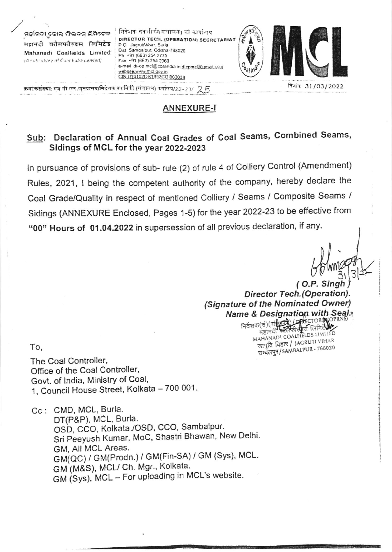ମହାନଦା କୋଲ୍ ମିଲ୍ଲଡ୍ମ ଲିମିଟେଡ महानदी वर्तसप्तील्ड्स लिमिटेड Mahanadi Coalfields Limited (A subcidiary of Coal bidia Limled)

े निदेशक तक्तीकी(संचालन) को कार्यालय DIRECTOR TECH. (OPERATION) SECRETARIAT P.O. JagrubVihar Burla Dist Sambalpur, Odisha-768020 Ph +91 (663) 254 2775 Fax +91 (663) 254 2360 e-mail di-op mcl@coalindia in.dlopmcl@gmail.com vebsite.www.mcl.gov.in CIN U10102OR1992GOI003038



दिनांक 31/03/2022

क्रमां<mark>कसंक्ष्या: एम</mark> सी एल /मुख्याले*ष/*निदेशक तकनिकी (संचालन) कर्यालेष/22-23/ - 2, 5

## **ANNEXURE-I**

## Sub: Declaration of Annual Coal Grades of Coal Seams, Combined Seams, Sidings of MCL for the year 2022-2023

In pursuance of provisions of sub- rule (2) of rule 4 of Colliery Control (Amendment) Rules, 2021, I being the competent authority of the company, hereby declare the Coal Grade/Quality in respect of mentioned Colliery / Seams / Composite Seams / Sidings (ANNEXURE Enclosed, Pages 1-5) for the year 2022-23 to be effective from "00" Hours of 01.04.2022 in supersession of all previous declaration, if any.

(O.P. Singh Director Tech. (Operation). (Signature of the Nominated Owner) **Name & Designation with Seals** 

निर्देशक(त)(संस्ट्या / महिलाOR NO MAHANADI COALFIELDS LIMITED महानद जागृति विहार / JAGRUTI VIHAR सम्बलपुर/SAMBALPUR - 768020

To,

The Coal Controller, Office of the Coal Controller, Govt. of India, Ministry of Coal, 1, Council House Street, Kolkata - 700 001.

Cc: CMD, MCL, Burla.

DT(P&P), MCL, Burla. OSD, CCO, Kolkata./OSD, CCO, Sambalpur. Sri Peeyush Kumar, MoC, Shastri Bhawan, New Delhi. GM, All MCL Areas. GM(QC) / GM(Prodn.) / GM(Fin-SA) / GM (Sys), MCL. GM (M&S), MCL/ Ch. Mgr., Kolkata. GM (Sys), MCL - For uploading in MCL's website.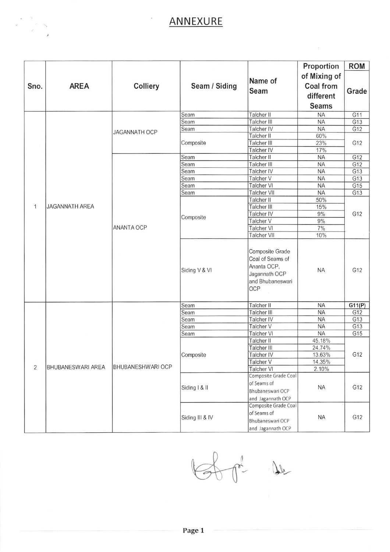## ANNEXURE

| of Mixing of<br>Name of<br>Colliery<br>Seam / Siding<br>Coal from<br><b>AREA</b><br>Sno.<br>Seam<br>different<br><b>Seams</b><br>Talcher II<br>Seam<br><b>NA</b><br>Talcher III<br><b>NA</b><br>Seam<br>Talcher IV<br><b>NA</b><br>Seam<br><b>JAGANNATH OCP</b><br>Talcher II<br>60%<br>23%<br>Talcher III<br>Composite<br>17%<br>Talcher IV<br>Talcher II<br>G12<br>Seam<br><b>NA</b><br>Talcher III<br>Seam<br>G12<br><b>NA</b><br>Talcher IV<br>Seam<br><b>NA</b><br>G13<br>Seam<br>Talcher V<br><b>NA</b><br>G13<br>Talcher VI<br><b>NA</b><br>G15<br>Seam<br>Talcher VII<br><b>NA</b><br>G13<br>Seam<br>Talcher II<br>50%<br>$\overline{1}$<br>JAGANNATH AREA<br>Talcher III<br>15%<br>Talcher IV<br>9%<br>Composite<br>Talcher V<br>9%<br><b>ANANTA OCP</b><br><b>Talcher VI</b><br>7% |  |                                 |           |        |
|----------------------------------------------------------------------------------------------------------------------------------------------------------------------------------------------------------------------------------------------------------------------------------------------------------------------------------------------------------------------------------------------------------------------------------------------------------------------------------------------------------------------------------------------------------------------------------------------------------------------------------------------------------------------------------------------------------------------------------------------------------------------------------------------|--|---------------------------------|-----------|--------|
|                                                                                                                                                                                                                                                                                                                                                                                                                                                                                                                                                                                                                                                                                                                                                                                              |  |                                 |           |        |
|                                                                                                                                                                                                                                                                                                                                                                                                                                                                                                                                                                                                                                                                                                                                                                                              |  |                                 |           |        |
|                                                                                                                                                                                                                                                                                                                                                                                                                                                                                                                                                                                                                                                                                                                                                                                              |  |                                 |           | Grade  |
|                                                                                                                                                                                                                                                                                                                                                                                                                                                                                                                                                                                                                                                                                                                                                                                              |  |                                 |           |        |
|                                                                                                                                                                                                                                                                                                                                                                                                                                                                                                                                                                                                                                                                                                                                                                                              |  |                                 |           |        |
|                                                                                                                                                                                                                                                                                                                                                                                                                                                                                                                                                                                                                                                                                                                                                                                              |  |                                 |           | G11    |
|                                                                                                                                                                                                                                                                                                                                                                                                                                                                                                                                                                                                                                                                                                                                                                                              |  |                                 |           | G13    |
|                                                                                                                                                                                                                                                                                                                                                                                                                                                                                                                                                                                                                                                                                                                                                                                              |  |                                 |           | G12    |
|                                                                                                                                                                                                                                                                                                                                                                                                                                                                                                                                                                                                                                                                                                                                                                                              |  |                                 |           | G12    |
|                                                                                                                                                                                                                                                                                                                                                                                                                                                                                                                                                                                                                                                                                                                                                                                              |  |                                 |           |        |
|                                                                                                                                                                                                                                                                                                                                                                                                                                                                                                                                                                                                                                                                                                                                                                                              |  |                                 |           |        |
|                                                                                                                                                                                                                                                                                                                                                                                                                                                                                                                                                                                                                                                                                                                                                                                              |  |                                 |           |        |
|                                                                                                                                                                                                                                                                                                                                                                                                                                                                                                                                                                                                                                                                                                                                                                                              |  |                                 |           |        |
|                                                                                                                                                                                                                                                                                                                                                                                                                                                                                                                                                                                                                                                                                                                                                                                              |  |                                 |           |        |
|                                                                                                                                                                                                                                                                                                                                                                                                                                                                                                                                                                                                                                                                                                                                                                                              |  |                                 |           |        |
|                                                                                                                                                                                                                                                                                                                                                                                                                                                                                                                                                                                                                                                                                                                                                                                              |  |                                 |           |        |
|                                                                                                                                                                                                                                                                                                                                                                                                                                                                                                                                                                                                                                                                                                                                                                                              |  |                                 |           |        |
|                                                                                                                                                                                                                                                                                                                                                                                                                                                                                                                                                                                                                                                                                                                                                                                              |  |                                 |           | G12    |
|                                                                                                                                                                                                                                                                                                                                                                                                                                                                                                                                                                                                                                                                                                                                                                                              |  |                                 |           |        |
|                                                                                                                                                                                                                                                                                                                                                                                                                                                                                                                                                                                                                                                                                                                                                                                              |  |                                 |           |        |
|                                                                                                                                                                                                                                                                                                                                                                                                                                                                                                                                                                                                                                                                                                                                                                                              |  |                                 |           |        |
|                                                                                                                                                                                                                                                                                                                                                                                                                                                                                                                                                                                                                                                                                                                                                                                              |  | <b>Talcher VII</b>              | 10%       |        |
| Composite Grade<br>Coal of Seams of<br>Ananta OCP,<br>Siding V & VI<br><b>NA</b><br>Jagannath OCP<br>and Bhubaneswari<br>OCP                                                                                                                                                                                                                                                                                                                                                                                                                                                                                                                                                                                                                                                                 |  |                                 |           | G12    |
| Talcher II<br><b>NA</b><br>Seam                                                                                                                                                                                                                                                                                                                                                                                                                                                                                                                                                                                                                                                                                                                                                              |  |                                 |           | G11(P) |
| Talcher III<br><b>NA</b><br>Seam                                                                                                                                                                                                                                                                                                                                                                                                                                                                                                                                                                                                                                                                                                                                                             |  |                                 |           | G12    |
| Talcher IV<br><b>NA</b><br>Seam                                                                                                                                                                                                                                                                                                                                                                                                                                                                                                                                                                                                                                                                                                                                                              |  |                                 |           | G13    |
| Talcher V<br>Seam<br><b>NA</b>                                                                                                                                                                                                                                                                                                                                                                                                                                                                                                                                                                                                                                                                                                                                                               |  |                                 |           | G13    |
| Talcher VI<br><b>NA</b><br>Seam                                                                                                                                                                                                                                                                                                                                                                                                                                                                                                                                                                                                                                                                                                                                                              |  |                                 |           | G15    |
| 45.18%<br>Talcher II                                                                                                                                                                                                                                                                                                                                                                                                                                                                                                                                                                                                                                                                                                                                                                         |  |                                 |           | G12    |
| Talcher III<br>24.74%                                                                                                                                                                                                                                                                                                                                                                                                                                                                                                                                                                                                                                                                                                                                                                        |  |                                 |           |        |
| Talcher IV<br>13.63%<br>Composite                                                                                                                                                                                                                                                                                                                                                                                                                                                                                                                                                                                                                                                                                                                                                            |  |                                 |           |        |
| 14.35%<br>Talcher V<br>$\overline{2}$<br><b>BHUBANESWARI AREA</b><br><b>BHUBANESHWARI OCP</b>                                                                                                                                                                                                                                                                                                                                                                                                                                                                                                                                                                                                                                                                                                |  |                                 |           |        |
| Talcher VI<br>2.10%<br>Composite Grade Coal                                                                                                                                                                                                                                                                                                                                                                                                                                                                                                                                                                                                                                                                                                                                                  |  |                                 |           |        |
| of Seams of                                                                                                                                                                                                                                                                                                                                                                                                                                                                                                                                                                                                                                                                                                                                                                                  |  |                                 |           |        |
| Siding   & II<br><b>NA</b><br>Bhubaneswari OCP                                                                                                                                                                                                                                                                                                                                                                                                                                                                                                                                                                                                                                                                                                                                               |  |                                 |           | G12    |
|                                                                                                                                                                                                                                                                                                                                                                                                                                                                                                                                                                                                                                                                                                                                                                                              |  |                                 |           |        |
| and Jagannath OCP<br>Composite Grade Coal                                                                                                                                                                                                                                                                                                                                                                                                                                                                                                                                                                                                                                                                                                                                                    |  |                                 |           |        |
|                                                                                                                                                                                                                                                                                                                                                                                                                                                                                                                                                                                                                                                                                                                                                                                              |  |                                 | <b>NA</b> |        |
| Siding III & IV                                                                                                                                                                                                                                                                                                                                                                                                                                                                                                                                                                                                                                                                                                                                                                              |  |                                 |           |        |
| and Jagannath OCP                                                                                                                                                                                                                                                                                                                                                                                                                                                                                                                                                                                                                                                                                                                                                                            |  | of Seams of<br>Bhubaneswari OCP |           | G12    |

 $\theta$ 

 $\mathcal{T}$